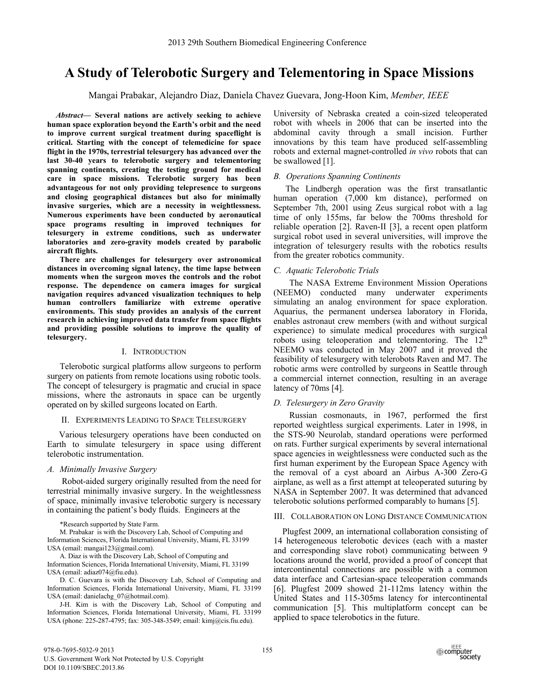# **A Study of Telerobotic Surgery and Telementoring in Space Missions**

Mangai Prabakar, Alejandro Diaz, Daniela Chavez Guevara, Jong-Hoon Kim, *Member, IEEE* 

*Abstract***— Several nations are actively seeking to achieve human space exploration beyond the Earth's orbit and the need to improve current surgical treatment during spaceflight is critical. Starting with the concept of telemedicine for space flight in the 1970s, terrestrial telesurgery has advanced over the last 30-40 years to telerobotic surgery and telementoring spanning continents, creating the testing ground for medical care in space missions. Telerobotic surgery has been advantageous for not only providing telepresence to surgeons and closing geographical distances but also for minimally invasive surgeries, which are a necessity in weightlessness. Numerous experiments have been conducted by aeronautical space programs resulting in improved techniques for telesurgery in extreme conditions, such as underwater laboratories and zero-gravity models created by parabolic aircraft flights.** 

**There are challenges for telesurgery over astronomical distances in overcoming signal latency, the time lapse between moments when the surgeon moves the controls and the robot response. The dependence on camera images for surgical navigation requires advanced visualization techniques to help human controllers familiarize with extreme operative environments. This study provides an analysis of the current research in achieving improved data transfer from space flights and providing possible solutions to improve the quality of telesurgery.** 

## I. INTRODUCTION

Telerobotic surgical platforms allow surgeons to perform surgery on patients from remote locations using robotic tools. The concept of telesurgery is pragmatic and crucial in space missions, where the astronauts in space can be urgently operated on by skilled surgeons located on Earth.

## II. EXPERIMENTS LEADING TO SPACE TELESURGERY

Various telesurgery operations have been conducted on Earth to simulate telesurgery in space using different telerobotic instrumentation.

## *A. Minimally Invasive Surgery*

 Robot-aided surgery originally resulted from the need for terrestrial minimally invasive surgery. In the weightlessness of space, minimally invasive telerobotic surgery is necessary in containing the patient's body fluids. Engineers at the

\*Research supported by State Farm.

M. Prabakar is with the Discovery Lab, School of Computing and Information Sciences, Florida International University, Miami, FL 33199 USA (email: mangai123@gmail.com).

A. Diaz is with the Discovery Lab, School of Computing and Information Sciences, Florida International University, Miami, FL 33199 USA (email: adiaz074@fiu.edu).

D. C. Guevara is with the Discovery Lab, School of Computing and Information Sciences, Florida International University, Miami, FL 33199 USA (email: danielachg\_07@hotmail.com).

J-H. Kim is with the Discovery Lab, School of Computing and Information Sciences, Florida International University, Miami, FL 33199 USA (phone: 225-287-4795; fax: 305-348-3549; email: kimj@cis.fiu.edu).

University of Nebraska created a coin-sized teleoperated robot with wheels in 2006 that can be inserted into the abdominal cavity through a small incision. Further innovations by this team have produced self-assembling robots and external magnet-controlled *in vivo* robots that can be swallowed [1].

# *B. Operations Spanning Continents*

The Lindbergh operation was the first transatlantic human operation (7,000 km distance), performed on September 7th, 2001 using Zeus surgical robot with a lag time of only 155ms, far below the 700ms threshold for reliable operation [2]. Raven-II [3], a recent open platform surgical robot used in several universities, will improve the integration of telesurgery results with the robotics results from the greater robotics community.

# *C. Aquatic Telerobotic Trials*

The NASA Extreme Environment Mission Operations (NEEMO) conducted many underwater experiments simulating an analog environment for space exploration. Aquarius, the permanent undersea laboratory in Florida, enables astronaut crew members (with and without surgical experience) to simulate medical procedures with surgical robots using teleoperation and telementoring. The  $12<sup>th</sup>$ NEEMO was conducted in May 2007 and it proved the feasibility of telesurgery with telerobots Raven and M7. The robotic arms were controlled by surgeons in Seattle through a commercial internet connection, resulting in an average latency of 70ms [4].

# *D. Telesurgery in Zero Gravity*

Russian cosmonauts, in 1967, performed the first reported weightless surgical experiments. Later in 1998, in the STS-90 Neurolab, standard operations were performed on rats. Further surgical experiments by several international space agencies in weightlessness were conducted such as the first human experiment by the European Space Agency with the removal of a cyst aboard an Airbus A-300 Zero-G airplane, as well as a first attempt at teleoperated suturing by NASA in September 2007. It was determined that advanced telerobotic solutions performed comparably to humans [5].

## III. COLLABORATION ON LONG DISTANCE COMMUNICATION

Plugfest 2009, an international collaboration consisting of 14 heterogeneous telerobotic devices (each with a master and corresponding slave robot) communicating between 9 locations around the world, provided a proof of concept that intercontinental connections are possible with a common data interface and Cartesian-space teleoperation commands [6]. Plugfest 2009 showed 21-112ms latency within the United States and 115-305ms latency for intercontinental communication [5]. This multiplatform concept can be applied to space telerobotics in the future.